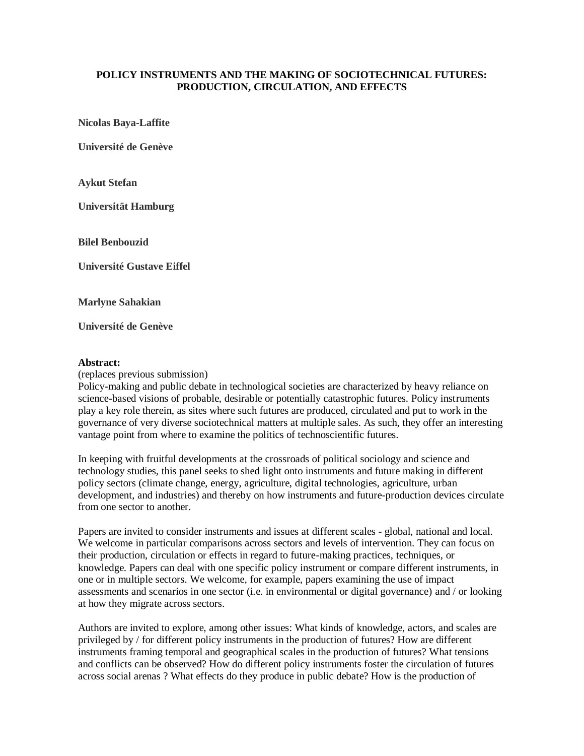## **POLICY INSTRUMENTS AND THE MAKING OF SOCIOTECHNICAL FUTURES: PRODUCTION, CIRCULATION, AND EFFECTS**

**Nicolas Baya-Laffite**

**Université de Genève**

**Aykut Stefan**

**Universität Hamburg**

**Bilel Benbouzid**

**Université Gustave Eiffel**

**Marlyne Sahakian**

**Université de Genève**

## **Abstract:**

(replaces previous submission)

Policy-making and public debate in technological societies are characterized by heavy reliance on science-based visions of probable, desirable or potentially catastrophic futures. Policy instruments play a key role therein, as sites where such futures are produced, circulated and put to work in the governance of very diverse sociotechnical matters at multiple sales. As such, they offer an interesting vantage point from where to examine the politics of technoscientific futures.

In keeping with fruitful developments at the crossroads of political sociology and science and technology studies, this panel seeks to shed light onto instruments and future making in different policy sectors (climate change, energy, agriculture, digital technologies, agriculture, urban development, and industries) and thereby on how instruments and future-production devices circulate from one sector to another.

Papers are invited to consider instruments and issues at different scales - global, national and local. We welcome in particular comparisons across sectors and levels of intervention. They can focus on their production, circulation or effects in regard to future-making practices, techniques, or knowledge. Papers can deal with one specific policy instrument or compare different instruments, in one or in multiple sectors. We welcome, for example, papers examining the use of impact assessments and scenarios in one sector (i.e. in environmental or digital governance) and / or looking at how they migrate across sectors.

Authors are invited to explore, among other issues: What kinds of knowledge, actors, and scales are privileged by / for different policy instruments in the production of futures? How are different instruments framing temporal and geographical scales in the production of futures? What tensions and conflicts can be observed? How do different policy instruments foster the circulation of futures across social arenas ? What effects do they produce in public debate? How is the production of